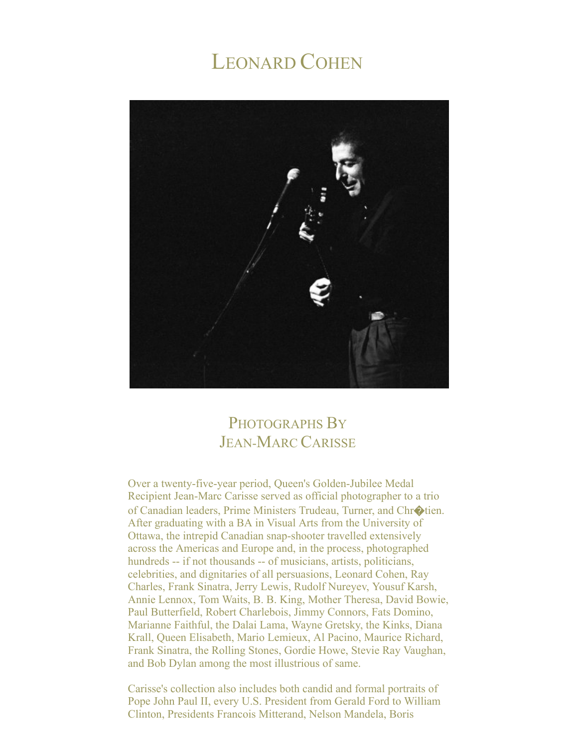## LEONARD COHEN



## PHOTOGRAPHS BY JEAN-MARC CARISSE

Over a twenty-five-year period, Queen's Golden-Jubilee Medal Recipient Jean-Marc Carisse served as official photographer to a trio of Canadian leaders, Prime Ministers Trudeau, Turner, and Chr $\lozenge$ tien. After graduating with a BA in Visual Arts from the University of Ottawa, the intrepid Canadian snap-shooter travelled extensively across the Americas and Europe and, in the process, photographed hundreds -- if not thousands -- of musicians, artists, politicians, celebrities, and dignitaries of all persuasions, Leonard Cohen, Ray Charles, Frank Sinatra, Jerry Lewis, Rudolf Nureyev, Yousuf Karsh, Annie Lennox, Tom Waits, B. B. King, Mother Theresa, David Bowie, Paul Butterfield, Robert Charlebois, Jimmy Connors, Fats Domino, Marianne Faithful, the Dalai Lama, Wayne Gretsky, the Kinks, Diana Krall, Queen Elisabeth, Mario Lemieux, Al Pacino, Maurice Richard, Frank Sinatra, the Rolling Stones, Gordie Howe, Stevie Ray Vaughan, and Bob Dylan among the most illustrious of same.

Carisse's collection also includes both candid and formal portraits of Pope John Paul II, every U.S. President from Gerald Ford to William Clinton, Presidents Francois Mitterand, Nelson Mandela, Boris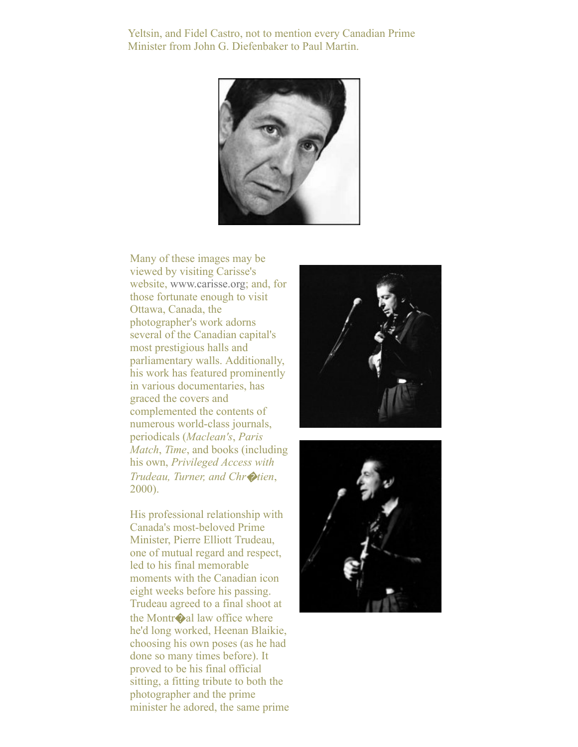Yeltsin, and Fidel Castro, not to mention every Canadian Prime Minister from John G. Diefenbaker to Paul Martin.



Many of these images may be viewed by visiting Carisse's website, [www.carisse.org](http://www.carisse.org/); and, for those fortunate enough to visit Ottawa, Canada, the photographer's work adorns several of the Canadian capital's most prestigious halls and parliamentary walls. Additionally, his work has featured prominently in various documentaries, has graced the covers and complemented the contents of numerous world-class journals, periodicals (*Maclean's*, *Paris Match*, *Time*, and books (including his own, *Privileged Access with Trudeau, Turner, and Chr*�*tien*, 2000).

His professional relationship with Canada's most-beloved Prime Minister, Pierre Elliott Trudeau, one of mutual regard and respect, led to his final memorable moments with the Canadian icon eight weeks before his passing. Trudeau agreed to a final shoot at the Montr $\bullet$ al law office where he'd long worked, Heenan Blaikie, choosing his own poses (as he had done so many times before). It proved to be his final official sitting, a fitting tribute to both the photographer and the prime minister he adored, the same prime